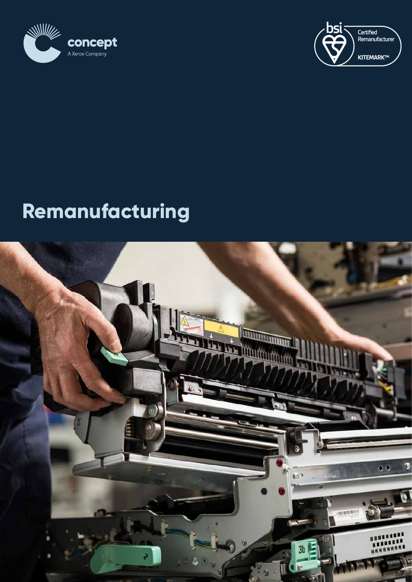



# **Remanufacturing**